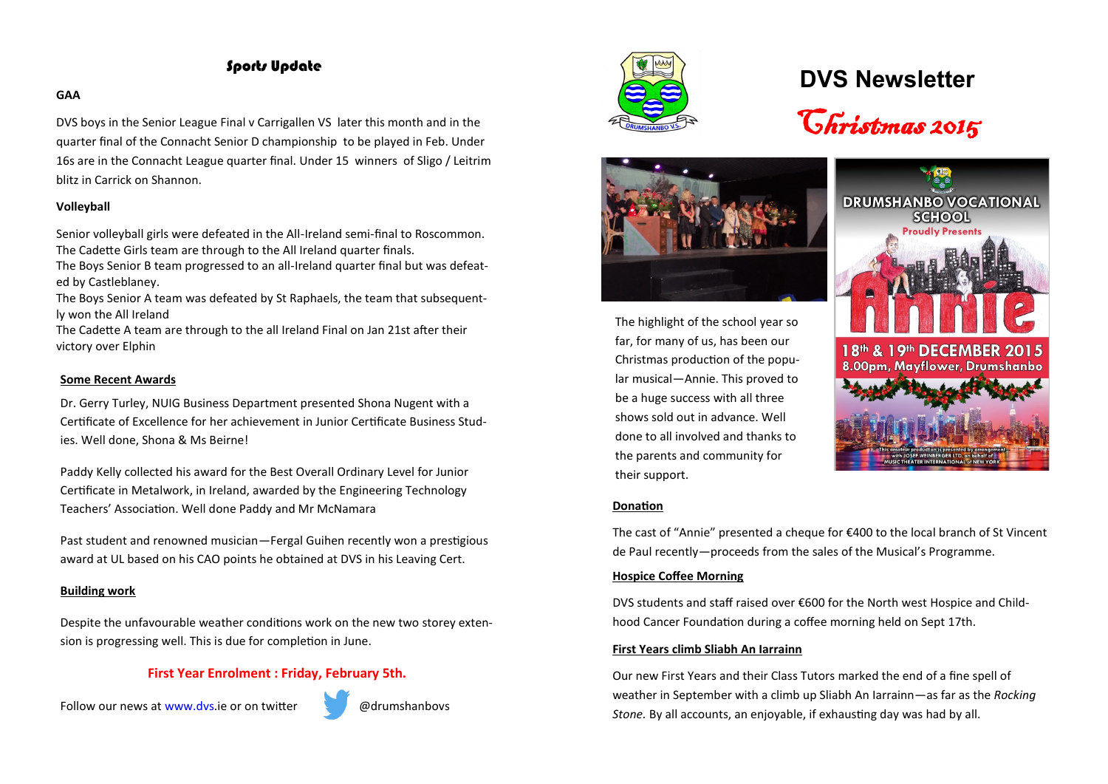# Sports Update

#### **GAA**

DVS boys in the Senior League Final v Carrigallen VS later this month and in the quarter final of the Connacht Senior D championship to be played in Feb. Under 16s are in the Connacht League quarter final. Under 15 winners of Sligo / Leitrim blitz in Carrick on Shannon.

# **Volleyball**

Senior volleyball girls were defeated in the All-Ireland semi-final to Roscommon. The Cadette Girls team are through to the All Ireland quarter finals.

The Boys Senior B team progressed to an all-Ireland quarter final but was defeated by Castleblaney.

The Boys Senior A team was defeated by St Raphaels, the team that subsequently won the All Ireland

The Cadette A team are through to the all Ireland Final on Jan 21st after their victory over Elphin

# **Some Recent Awards**

Dr. Gerry Turley, NUIG Business Department presented Shona Nugent with a Certificate of Excellence for her achievement in Junior Certificate Business Studies. Well done, Shona & Ms Beirne!

Paddy Kelly collected his award for the Best Overall Ordinary Level for Junior Certificate in Metalwork, in Ireland, awarded by the Engineering Technology Teachers' Association. Well done Paddy and Mr McNamara

Past student and renowned musician—Fergal Guihen recently won a prestigious award at UL based on his CAO points he obtained at DVS in his Leaving Cert.

#### **Building work**

Despite the unfavourable weather conditions work on the new two storey extension is progressing well. This is due for completion in June.

# **First Year Enrolment : Friday, February 5th.**

Follow our news at www.dvs.ie or on twitter @drumshanbovs









The highlight of the school year so far, for many of us, has been our Christmas production of the popular musical—Annie. This proved to be a huge success with all three shows sold out in advance. Well done to all involved and thanks to the parents and community for their support.



#### **Donation**

The cast of "Annie" presented a cheque for €400 to the local branch of St Vincent de Paul recently—proceeds from the sales of the Musical's Programme.

#### **Hospice Coffee Morning**

DVS students and staff raised over €600 for the North west Hospice and Childhood Cancer Foundation during a coffee morning held on Sept 17th.

#### **First Years climb Sliabh An Iarrainn**

Our new First Years and their Class Tutors marked the end of a fine spell of weather in September with a climb up Sliabh An Iarrainn—as far as the *Rocking Stone.* By all accounts, an enjoyable, if exhausting day was had by all.